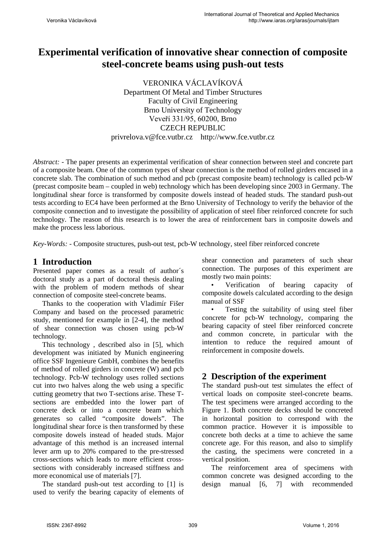# **Experimental verification of innovative shear connection of composite steel-concrete beams using push-out tests**

VERONIKA VÁCLAVÍKOVÁ Department Of Metal and Timber Structures Faculty of Civil Engineering Brno University of Technology Veveří 331/95, 60200, Brno CZECH REPUBLIC privrelova.v@fce.vutbr.cz http://www.fce.vutbr.cz

*Abstract: -* The paper presents an experimental verification of shear connection between steel and concrete part of a composite beam. One of the common types of shear connection is the method of rolled girders encased in a concrete slab. The combination of such method and pcb (precast composite beam) technology is called pcb-W (precast composite beam – coupled in web) technology which has been developing since 2003 in Germany. The longitudinal shear force is transformed by composite dowels instead of headed studs. The standard push-out tests according to EC4 have been performed at the Brno University of Technology to verify the behavior of the composite connection and to investigate the possibility of application of steel fiber reinforced concrete for such technology. The reason of this research is to lower the area of reinforcement bars in composite dowels and make the process less laborious.

*Key-Words: -* Composite structures, push-out test, pcb-W technology, steel fiber reinforced concrete

# **1 Introduction**

Presented paper comes as a result of author´s doctoral study as a part of doctoral thesis dealing with the problem of modern methods of shear connection of composite steel-concrete beams.

Thanks to the cooperation with Vladimír Fišer Company and based on the processed parametric study, mentioned for example in [2-4], the method of shear connection was chosen using pcb-W technology.

This technology , described also in [5], which development was initiated by Munich engineering office SSF Ingenieure GmbH, combines the benefits of method of rolled girders in concrete (W) and pcb technology. Pcb-W technology uses rolled sections cut into two halves along the web using a specific cutting geometry that two T-sections arise. These Tsections are embedded into the lower part of concrete deck or into a concrete beam which generates so called "composite dowels". The longitudinal shear force is then transformed by these composite dowels instead of headed studs. Major advantage of this method is an increased internal lever arm up to 20% compared to the pre-stressed cross-sections which leads to more efficient crosssections with considerably increased stiffness and more economical use of materials [7].

The standard push-out test according to [1] is used to verify the bearing capacity of elements of shear connection and parameters of such shear connection. The purposes of this experiment are mostly two main points:

• Verification of bearing capacity of composite dowels calculated according to the design manual of SSF

Testing the suitability of using steel fiber concrete for pcb-W technology, comparing the bearing capacity of steel fiber reinforced concrete and common concrete, in particular with the intention to reduce the required amount of reinforcement in composite dowels.

# **2 Description of the experiment**

The standard push-out test simulates the effect of vertical loads on composite steel-concrete beams. The test specimens were arranged according to the Figure 1. Both concrete decks should be concreted in horizontal position to correspond with the common practice. However it is impossible to concrete both decks at a time to achieve the same concrete age. For this reason, and also to simplify the casting, the specimens were concreted in a vertical position.

The reinforcement area of specimens with common concrete was designed according to the design manual [6, 7] with recommended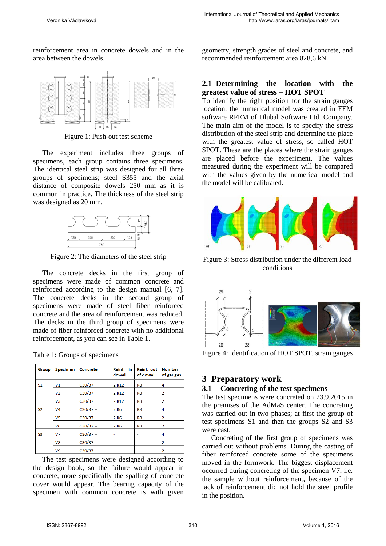reinforcement area in concrete dowels and in the area between the dowels.



Figure 1: Push-out test scheme

The experiment includes three groups of specimens, each group contains three specimens. The identical steel strip was designed for all three groups of specimens; steel S355 and the axial distance of composite dowels 250 mm as it is common in practice. The thickness of the steel strip was designed as 20 mm.



Figure 2: The diameters of the steel strip

The concrete decks in the first group of specimens were made of common concrete and reinforced according to the design manual [6, 7]. The concrete decks in the second group of specimens were made of steel fiber reinforced concrete and the area of reinforcement was reduced. The decks in the third group of specimens were made of fiber reinforced concrete with no additional reinforcement, as you can see in Table 1.

| Group          | <b>Specimen</b> | Concrete   | Reinf. in<br>dowel | Reinf. out<br>of dowel | <b>Number</b><br>of gauges |
|----------------|-----------------|------------|--------------------|------------------------|----------------------------|
| S <sub>1</sub> | V1              | C30/37     | 2 R <sub>12</sub>  | R <sub>8</sub>         | 4                          |
|                | V <sub>2</sub>  | C30/37     | 2 R <sub>12</sub>  | R <sub>8</sub>         | $\overline{2}$             |
|                | V <sub>3</sub>  | C30/37     | 2 R <sub>12</sub>  | R <sub>8</sub>         | 2                          |
| <b>S2</b>      | V <sub>4</sub>  | $C30/37 +$ | 2 R <sub>6</sub>   | R <sub>8</sub>         | 4                          |
|                | V5              | $C30/37 +$ | 2 R <sub>6</sub>   | R8                     | 2                          |
|                | V <sub>6</sub>  | $C30/37 +$ | 2 R <sub>6</sub>   | R <sub>8</sub>         | 2                          |
| S <sub>3</sub> | V7              | $C30/37 +$ |                    |                        | 4                          |
|                | V8              | $C30/37 +$ | ۰                  | ۰                      | $\overline{2}$             |
|                | V <sub>9</sub>  | $C30/37 +$ |                    |                        | $\overline{2}$             |

Table 1: Groups of specimens

The test specimens were designed according to the design book, so the failure would appear in concrete, more specifically the spalling of concrete cover would appear. The bearing capacity of the specimen with common concrete is with given geometry, strength grades of steel and concrete, and recommended reinforcement area 828,6 kN.

### **2.1 Determining the location with the greatest value of stress – HOT SPOT**

To identify the right position for the strain gauges location, the numerical model was created in FEM software RFEM of Dlubal Software Ltd. Company. The main aim of the model is to specify the stress distribution of the steel strip and determine the place with the greatest value of stress, so called HOT SPOT. These are the places where the strain gauges are placed before the experiment. The values measured during the experiment will be compared with the values given by the numerical model and the model will be calibrated.



Figure 3: Stress distribution under the different load conditions



Figure 4: Identification of HOT SPOT, strain gauges

# **3 Preparatory work**

#### **3.1 Concreting of the test specimens**

The test specimens were concreted on 23.9.2015 in the premises of the AdMaS center. The concreting was carried out in two phases; at first the group of test specimens S1 and then the groups S2 and S3 were cast.

Concreting of the first group of specimens was carried out without problems. During the casting of fiber reinforced concrete some of the specimens moved in the formwork. The biggest displacement occurred during concreting of the specimen V7, i.e. the sample without reinforcement, because of the lack of reinforcement did not hold the steel profile in the position.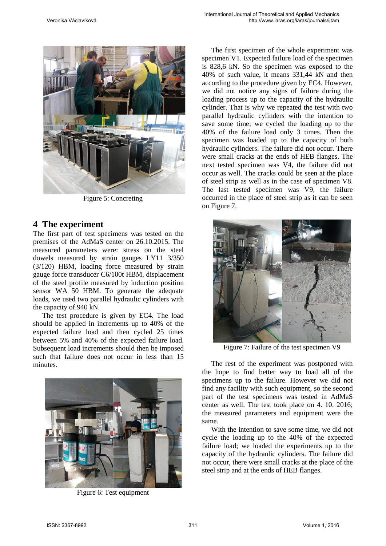

Figure 5: Concreting

### **4 The experiment**

The first part of test specimens was tested on the premises of the AdMaS center on 26.10.2015. The measured parameters were: stress on the steel dowels measured by strain gauges LY11 3/350 (3/120) HBM, loading force measured by strain gauge force transducer C6/100t HBM, displacement of the steel profile measured by induction position sensor WA 50 HBM. To generate the adequate loads, we used two parallel hydraulic cylinders with the capacity of 940 kN.

The test procedure is given by EC4. The load should be applied in increments up to 40% of the expected failure load and then cycled 25 times between 5% and 40% of the expected failure load. Subsequent load increments should then be imposed such that failure does not occur in less than 15 minutes.



Figure 6: Test equipment

The first specimen of the whole experiment was specimen V1. Expected failure load of the specimen is 828,6 kN. So the specimen was exposed to the 40% of such value, it means 331,44 kN and then according to the procedure given by EC4. However, we did not notice any signs of failure during the loading process up to the capacity of the hydraulic cylinder. That is why we repeated the test with two parallel hydraulic cylinders with the intention to save some time; we cycled the loading up to the 40% of the failure load only 3 times. Then the specimen was loaded up to the capacity of both hydraulic cylinders. The failure did not occur. There were small cracks at the ends of HEB flanges. The next tested specimen was V4, the failure did not occur as well. The cracks could be seen at the place of steel strip as well as in the case of specimen V8. The last tested specimen was V9, the failure occurred in the place of steel strip as it can be seen on Figure 7.



Figure 7: Failure of the test specimen V9

The rest of the experiment was postponed with the hope to find better way to load all of the specimens up to the failure. However we did not find any facility with such equipment, so the second part of the test specimens was tested in AdMaS center as well. The test took place on 4. 10. 2016; the measured parameters and equipment were the same.

With the intention to save some time, we did not cycle the loading up to the 40% of the expected failure load; we loaded the experiments up to the capacity of the hydraulic cylinders. The failure did not occur, there were small cracks at the place of the steel strip and at the ends of HEB flanges.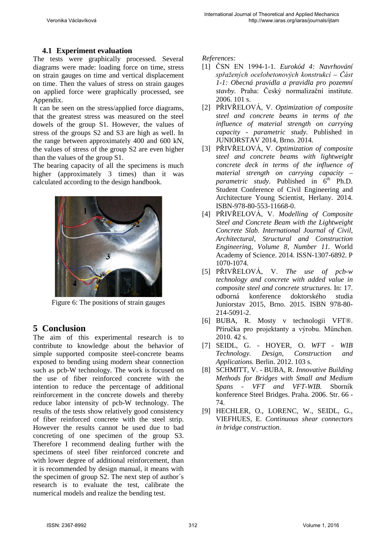## **4.1 Experiment evaluation**

The tests were graphically processed. Several diagrams were made: loading force on time, stress on strain gauges on time and vertical displacement on time. Then the values of stress on strain gauges on applied force were graphically processed, see Appendix.

It can be seen on the stress/applied force diagrams, that the greatest stress was measured on the steel dowels of the group S1. However, the values of stress of the groups S2 and S3 are high as well. In the range between approximately 400 and 600 kN, the values of stress of the group S2 are even higher than the values of the group S1.

The bearing capacity of all the specimens is much higher (approximately 3 times) than it was calculated according to the design handbook.



Figure 6: The positions of strain gauges

# **5 Conclusion**

The aim of this experimental research is to contribute to knowledge about the behavior of simple supported composite steel-concrete beams exposed to bending using modern shear connection such as pcb-W technology. The work is focused on the use of fiber reinforced concrete with the intention to reduce the percentage of additional reinforcement in the concrete dowels and thereby reduce labor intensity of pcb-W technology. The results of the tests show relatively good consistency of fiber reinforced concrete with the steel strip. However the results cannot be used due to bad concreting of one specimen of the group S3. Therefore I recommend dealing further with the specimens of steel fiber reinforced concrete and with lower degree of additional reinforcement, than it is recommended by design manual, it means with the specimen of group S2. The next step of author´s research is to evaluate the test, calibrate the numerical models and realize the bending test.

*References:*

- [1] ČSN EN 1994-1-1. *Eurokód 4: Navrhování spřažených ocelobetonových konstrukcí – Část 1-1: Obecná pravidla a pravidla pro pozemní stavby.* Praha: Český normalizační institute. 2006. 101 s.
- [2] PŘIVŘELOVÁ, V. *Optimization of composite steel and concrete beams in terms of the influence of material strength on carrying capacity - parametric study.* Published in JUNIORSTAV 2014, Brno. 2014.
- [3] PŘIVŘELOVÁ, V. *Optimization of composite steel and concrete beams with lightweight concrete deck in terms of the influence of material strength on carrying capacity – parametric study.* Published in  $6<sup>th</sup>$  Ph.D. Student Conference of Civil Engineering and Architecture Young Scientist, Herlany. 2014. ISBN-978-80-553-11668-0.
- [4] PŘIVŘELOVÁ, V. *Modelling of Composite Steel and Concrete Beam with the Lightweight Concrete Slab. International Journal of Civil, Architectural, Structural and Construction Engineering, Volume 8, Number 11.* World Academy of Science. 2014. ISSN-1307-6892. P 1070-1074.
- [5] PŘIVŘELOVÁ, V. *The use of pcb-w technology and concrete with added value in composite steel and concrete structures.* In: 17. odborná konference doktorského studia Juniorstav 2015, Brno. 2015. ISBN 978-80- 214-5091-2.
- [6] BUBA, R. Mosty v technologii VFT®. Příručka pro projektanty a výrobu. München. 2010. 42 s.
- [7] SEIDL, G. HOYER, O. *WFT WIB Technology. Design, Construction and Applications.* Berlin. 2012. 103 s.
- [8] SCHMITT, V. BUBA, R. *Innovative Building Methods for Bridges with Small and Medium Spans - VFT and VFT-WIB.* Sborník konference Steel Bridges. Praha. 2006. Str. 66 - 74.
- [9] HECHLER, O., LORENC, W., SEIDL, G., VIEFHUES, E. *Continuous shear connectors in bridge construction.*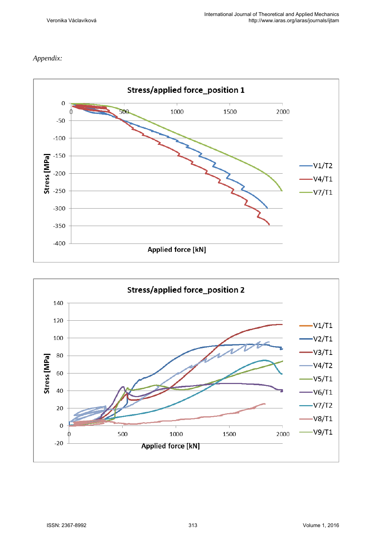### *Appendix:*